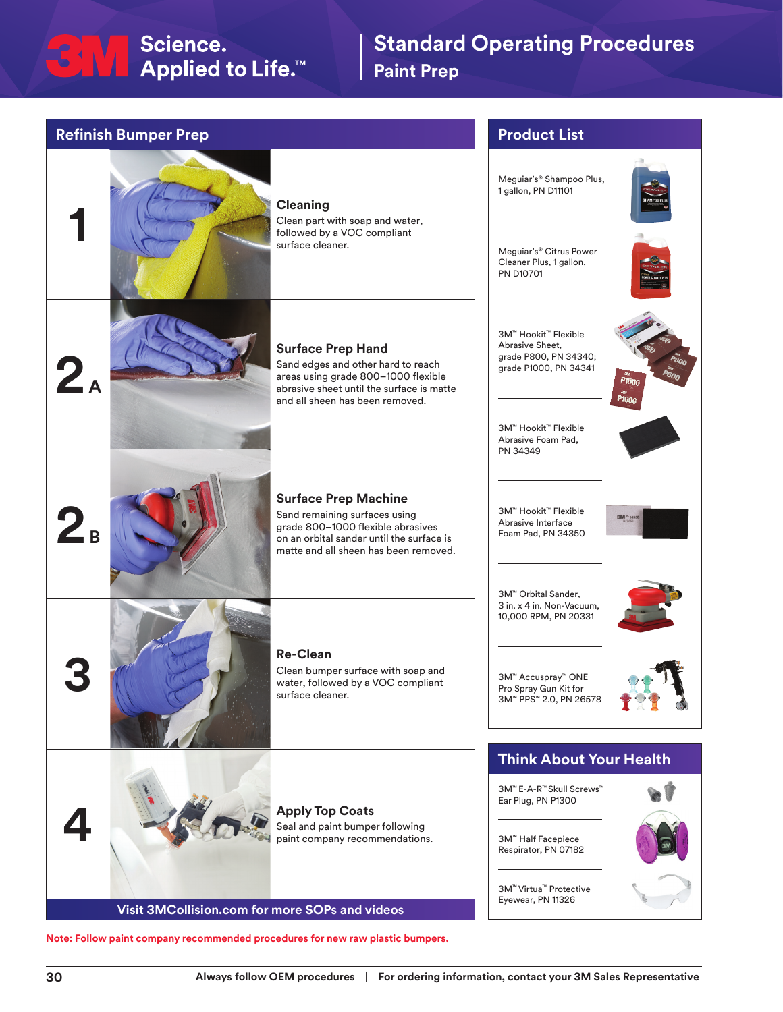## SNA Science.<br>Applied to Life.™

## **Standard Operating Procedures Paint Prep**

| <b>Refinish Bumper Prep</b>                                                                                                                                                                                                              | <b>Product List</b>                                                                                                                                                           |
|------------------------------------------------------------------------------------------------------------------------------------------------------------------------------------------------------------------------------------------|-------------------------------------------------------------------------------------------------------------------------------------------------------------------------------|
| <b>Cleaning</b><br>Clean part with soap and water,<br>followed by a VOC compliant<br>surface cleaner.                                                                                                                                    | Meguiar's® Shampoo Plus,<br>1 gallon, PN D11101<br>Meguiar's® Citrus Power<br>Cleaner Plus, 1 gallon,<br><b>PN D10701</b>                                                     |
| <b>Surface Prep Hand</b><br>Sand edges and other hard to reach<br>$\mathbf{Z}_\texttt{A}$<br>areas using grade 800-1000 flexible<br>abrasive sheet until the surface is matte<br>and all sheen has been removed.                         | 3M™ Hookit™ Flexible<br>Abrasive Sheet,<br>grade P800, PN 34340;<br>grade P1000, PN 34341<br>P1000<br><b>P1000</b><br>3M™ Hookit™ Flexible<br>Abrasive Foam Pad,              |
| <b>Surface Prep Machine</b><br>Sand remaining surfaces using<br>$\mathbf{Z}_{\scriptscriptstyle{\mathsf{B}}}$<br>grade 800-1000 flexible abrasives<br>on an orbital sander until the surface is<br>matte and all sheen has been removed. | PN 34349<br>3M™ Hookit™ Flexible<br><b>3BM</b> <sup>N</sup> 3435<br>Abrasive Interface<br>Foam Pad, PN 34350                                                                  |
| <b>Re-Clean</b><br>Clean bumper surface with soap and<br>water, followed by a VOC compliant<br>surface cleaner.                                                                                                                          | 3M™ Orbital Sander,<br>3 in. x 4 in. Non-Vacuum,<br>10,000 RPM, PN 20331<br>3M™ Accuspray™ ONE<br>Pro Spray Gun Kit for<br>3M™ PPS™ 2.0, PN 26578                             |
| <b>Apply Top Coats</b><br>Seal and paint bumper following<br>paint company recommendations.<br>Visit 3MCollision.com for more SOPs and videos                                                                                            | <b>Think About Your Health</b><br>3M™ E-A-R™ Skull Screws™<br>Ear Plug, PN P1300<br>3M™ Half Facepiece<br>Respirator, PN 07182<br>3M™ Virtua™ Protective<br>Eyewear, PN 11326 |

**Note: Follow paint company recommended procedures for new raw plastic bumpers.**